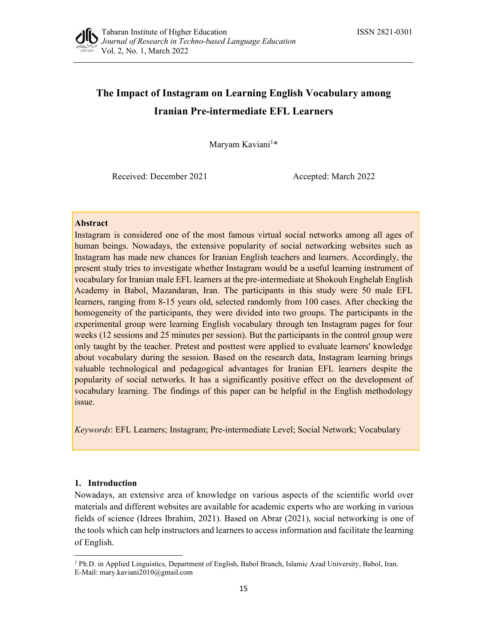

# The Impact of Instagram on Learning English Vocabulary among Iranian Pre-intermediate EFL Learners

Maryam Kaviani<sup>1\*</sup> \*

Received: December 2021 Accepted: March 2022

## **Abstract**

Instagram is considered one of the most famous virtual social networks among all ages of human beings. Nowadays, the extensive popularity of social networking websites such as Instagram has made new chances for Iranian English teachers and learners. Accordingly, the present study tries to investigate whether Instagram would be a useful learning instrument of vocabulary for Iranian male EFL learners at the pre-intermediate at Shokouh Enghelab English Academy in Babol, Mazandaran, Iran. The participants in this study were 50 male EFL learners, ranging from 8-15 years old, selected randomly from 100 cases. After checking the homogeneity of the participants, they were divided into two groups. The participants in the experimental group were learning English vocabulary through ten Instagram pages for four weeks (12 sessions and 25 minutes per session). But the participants in the control group were only taught by the teacher. Pretest and posttest were applied to evaluate learners' knowledge about vocabulary during the session. Based on the research data, Instagram learning brings valuable technological and pedagogical advantages for Iranian EFL learners despite the popularity of social networks. It has a significantly positive effect on the development of vocabulary learning. The findings of this paper can be helpful in the English methodology issue.

Keywords: EFL Learners; Instagram; Pre-intermediate Level; Social Network; Vocabulary

# 1. Introduction

Nowadays, an extensive area of knowledge on various aspects of the scientific world over materials and different websites are available for academic experts who are working in various fields of science (Idrees Ibrahim, 2021). Based on Abrar (2021), social networking is one of the tools which can help instructors and learners to access information and facilitate the learning of English. 1 Ph.D. in Applied Linguistics, Department of English, Babol Branch, Islamic Azad University, Babol, Iran.

E-Mail: mary.kaviani2010@gmail.com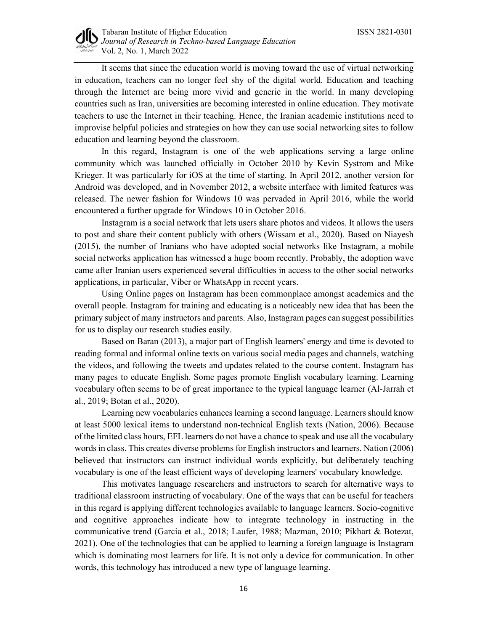

It seems that since the education world is moving toward the use of virtual networking in education, teachers can no longer feel shy of the digital world. Education and teaching through the Internet are being more vivid and generic in the world. In many developing countries such as Iran, universities are becoming interested in online education. They motivate teachers to use the Internet in their teaching. Hence, the Iranian academic institutions need to improvise helpful policies and strategies on how they can use social networking sites to follow education and learning beyond the classroom.

In this regard, Instagram is one of the web applications serving a large online community which was launched officially in October 2010 by Kevin Systrom and Mike Krieger. It was particularly for iOS at the time of starting. In April 2012, another version for Android was developed, and in November 2012, a website interface with limited features was released. The newer fashion for Windows 10 was pervaded in April 2016, while the world encountered a further upgrade for Windows 10 in October 2016.

Instagram is a social network that lets users share photos and videos. It allows the users to post and share their content publicly with others (Wissam et al., 2020). Based on Niayesh (2015), the number of Iranians who have adopted social networks like Instagram, a mobile social networks application has witnessed a huge boom recently. Probably, the adoption wave came after Iranian users experienced several difficulties in access to the other social networks applications, in particular, Viber or WhatsApp in recent years.

Using Online pages on Instagram has been commonplace amongst academics and the overall people. Instagram for training and educating is a noticeably new idea that has been the primary subject of many instructors and parents. Also, Instagram pages can suggest possibilities for us to display our research studies easily.

Based on Baran (2013), a major part of English learners' energy and time is devoted to reading formal and informal online texts on various social media pages and channels, watching the videos, and following the tweets and updates related to the course content. Instagram has many pages to educate English. Some pages promote English vocabulary learning. Learning vocabulary often seems to be of great importance to the typical language learner (Al-Jarrah et al., 2019; Botan et al., 2020).

Learning new vocabularies enhances learning a second language. Learners should know at least 5000 lexical items to understand non-technical English texts (Nation, 2006). Because of the limited class hours, EFL learners do not have a chance to speak and use all the vocabulary words in class. This creates diverse problems for English instructors and learners. Nation (2006) believed that instructors can instruct individual words explicitly, but deliberately teaching vocabulary is one of the least efficient ways of developing learners' vocabulary knowledge.

This motivates language researchers and instructors to search for alternative ways to traditional classroom instructing of vocabulary. One of the ways that can be useful for teachers in this regard is applying different technologies available to language learners. Socio-cognitive and cognitive approaches indicate how to integrate technology in instructing in the communicative trend (Garcia et al., 2018; Laufer, 1988; Mazman, 2010; Pikhart & Botezat, 2021). One of the technologies that can be applied to learning a foreign language is Instagram which is dominating most learners for life. It is not only a device for communication. In other words, this technology has introduced a new type of language learning.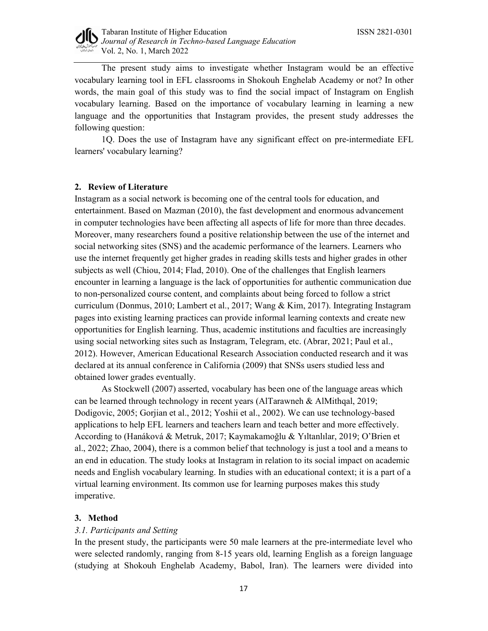

The present study aims to investigate whether Instagram would be an effective vocabulary learning tool in EFL classrooms in Shokouh Enghelab Academy or not? In other words, the main goal of this study was to find the social impact of Instagram on English vocabulary learning. Based on the importance of vocabulary learning in learning a new language and the opportunities that Instagram provides, the present study addresses the following question:

1Q. Does the use of Instagram have any significant effect on pre-intermediate EFL learners' vocabulary learning?

# 2. Review of Literature

Instagram as a social network is becoming one of the central tools for education, and entertainment. Based on Mazman (2010), the fast development and enormous advancement in computer technologies have been affecting all aspects of life for more than three decades. Moreover, many researchers found a positive relationship between the use of the internet and social networking sites (SNS) and the academic performance of the learners. Learners who use the internet frequently get higher grades in reading skills tests and higher grades in other subjects as well (Chiou, 2014; Flad, 2010). One of the challenges that English learners encounter in learning a language is the lack of opportunities for authentic communication due to non-personalized course content, and complaints about being forced to follow a strict curriculum (Donmus, 2010; Lambert et al., 2017; Wang & Kim, 2017). Integrating Instagram pages into existing learning practices can provide informal learning contexts and create new opportunities for English learning. Thus, academic institutions and faculties are increasingly using social networking sites such as Instagram, Telegram, etc. (Abrar, 2021; Paul et al., 2012). However, American Educational Research Association conducted research and it was declared at its annual conference in California (2009) that SNSs users studied less and obtained lower grades eventually.

 As Stockwell (2007) asserted, vocabulary has been one of the language areas which can be learned through technology in recent years (AlTarawneh & AlMithqal, 2019; Dodigovic, 2005; Gorjian et al., 2012; Yoshii et al., 2002). We can use technology-based applications to help EFL learners and teachers learn and teach better and more effectively. According to (Hanáková & Metruk, 2017; Kaymakamoğlu & Yıltanlılar, 2019; O'Brien et al., 2022; Zhao, 2004), there is a common belief that technology is just a tool and a means to an end in education. The study looks at Instagram in relation to its social impact on academic needs and English vocabulary learning. In studies with an educational context; it is a part of a virtual learning environment. Its common use for learning purposes makes this study imperative.

#### 3. Method

# 3.1. Participants and Setting

In the present study, the participants were 50 male learners at the pre-intermediate level who were selected randomly, ranging from 8-15 years old, learning English as a foreign language (studying at Shokouh Enghelab Academy, Babol, Iran). The learners were divided into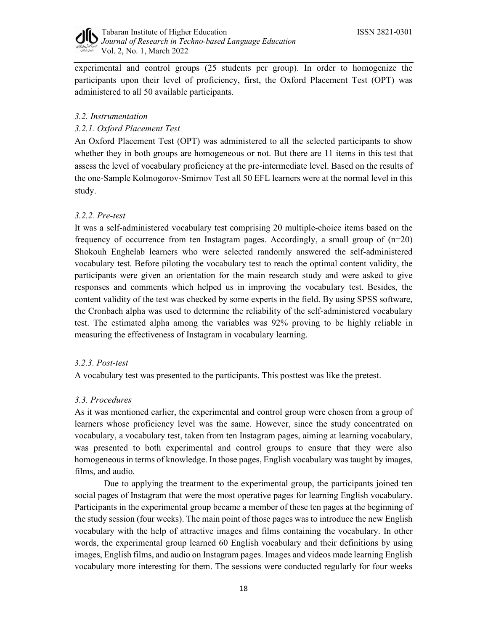

experimental and control groups (25 students per group). In order to homogenize the participants upon their level of proficiency, first, the Oxford Placement Test (OPT) was administered to all 50 available participants.

# 3.2. Instrumentation

# 3.2.1. Oxford Placement Test

An Oxford Placement Test (OPT) was administered to all the selected participants to show whether they in both groups are homogeneous or not. But there are 11 items in this test that assess the level of vocabulary proficiency at the pre-intermediate level. Based on the results of the one-Sample Kolmogorov-Smirnov Test all 50 EFL learners were at the normal level in this study.

# 3.2.2. Pre-test

It was a self-administered vocabulary test comprising 20 multiple-choice items based on the frequency of occurrence from ten Instagram pages. Accordingly, a small group of  $(n=20)$ Shokouh Enghelab learners who were selected randomly answered the self-administered vocabulary test. Before piloting the vocabulary test to reach the optimal content validity, the participants were given an orientation for the main research study and were asked to give responses and comments which helped us in improving the vocabulary test. Besides, the content validity of the test was checked by some experts in the field. By using SPSS software, the Cronbach alpha was used to determine the reliability of the self-administered vocabulary test. The estimated alpha among the variables was 92% proving to be highly reliable in measuring the effectiveness of Instagram in vocabulary learning.

# 3.2.3. Post-test

A vocabulary test was presented to the participants. This posttest was like the pretest.

# 3.3. Procedures

As it was mentioned earlier, the experimental and control group were chosen from a group of learners whose proficiency level was the same. However, since the study concentrated on vocabulary, a vocabulary test, taken from ten Instagram pages, aiming at learning vocabulary, was presented to both experimental and control groups to ensure that they were also homogeneous in terms of knowledge. In those pages, English vocabulary was taught by images, films, and audio.

 Due to applying the treatment to the experimental group, the participants joined ten social pages of Instagram that were the most operative pages for learning English vocabulary. Participants in the experimental group became a member of these ten pages at the beginning of the study session (four weeks). The main point of those pages was to introduce the new English vocabulary with the help of attractive images and films containing the vocabulary. In other words, the experimental group learned 60 English vocabulary and their definitions by using images, English films, and audio on Instagram pages. Images and videos made learning English vocabulary more interesting for them. The sessions were conducted regularly for four weeks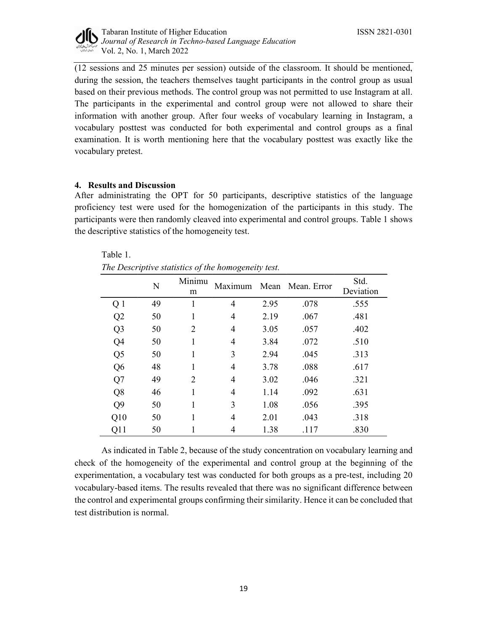

(12 sessions and 25 minutes per session) outside of the classroom. It should be mentioned, during the session, the teachers themselves taught participants in the control group as usual based on their previous methods. The control group was not permitted to use Instagram at all. The participants in the experimental and control group were not allowed to share their information with another group. After four weeks of vocabulary learning in Instagram, a vocabulary posttest was conducted for both experimental and control groups as a final examination. It is worth mentioning here that the vocabulary posttest was exactly like the vocabulary pretest.

# 4. Results and Discussion

After administrating the OPT for 50 participants, descriptive statistics of the language proficiency test were used for the homogenization of the participants in this study. The participants were then randomly cleaved into experimental and control groups. Table 1 shows the descriptive statistics of the homogeneity test.

|                |    | $\mathcal{L}$  |                |      |                  |                   |  |
|----------------|----|----------------|----------------|------|------------------|-------------------|--|
|                | N  | Minimu<br>m    | Maximum        |      | Mean Mean. Error | Std.<br>Deviation |  |
| Q <sub>1</sub> | 49 |                | $\overline{4}$ | 2.95 | .078             | .555              |  |
| Q2             | 50 |                | $\overline{4}$ | 2.19 | .067             | .481              |  |
| Q <sub>3</sub> | 50 | $\overline{2}$ | $\overline{4}$ | 3.05 | .057             | .402              |  |
| Q4             | 50 |                | $\overline{4}$ | 3.84 | .072             | .510              |  |
| Q <sub>5</sub> | 50 |                | 3              | 2.94 | .045             | .313              |  |
| Q <sub>6</sub> | 48 |                | $\overline{4}$ | 3.78 | .088             | .617              |  |
| Q7             | 49 | $\overline{2}$ | $\overline{4}$ | 3.02 | .046             | .321              |  |
| Q8             | 46 |                | $\overline{4}$ | 1.14 | .092             | .631              |  |
| Q <sub>9</sub> | 50 |                | 3              | 1.08 | .056             | .395              |  |
| Q10            | 50 |                | $\overline{4}$ | 2.01 | .043             | .318              |  |
| Q11            | 50 |                | $\overline{4}$ | 1.38 | .117             | .830              |  |

Table 1. The Descriptive statistics of the homogeneity test.

As indicated in Table 2, because of the study concentration on vocabulary learning and check of the homogeneity of the experimental and control group at the beginning of the experimentation, a vocabulary test was conducted for both groups as a pre-test, including 20 vocabulary-based items. The results revealed that there was no significant difference between the control and experimental groups confirming their similarity. Hence it can be concluded that test distribution is normal.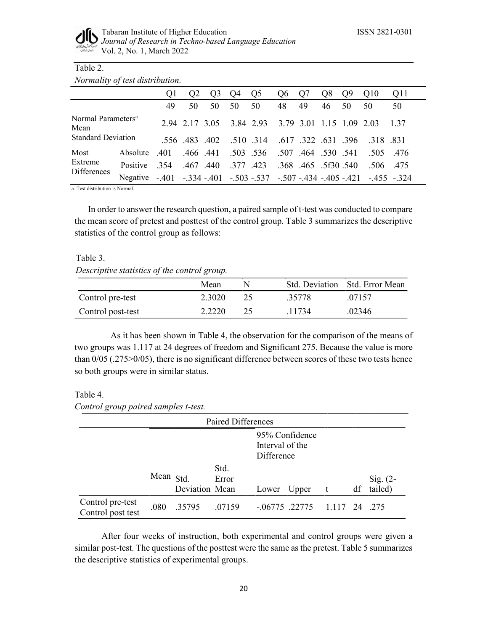

# Table 2.

|  | Normality of test distribution. |  |
|--|---------------------------------|--|
|--|---------------------------------|--|

|                                        |          | Οl               | Q2       | Q <sub>3</sub> | Q4 | Q <sub>5</sub> | Q6 | Q7                | Q8 | Q <sub>9</sub> | Q10                                                    | Q11 |
|----------------------------------------|----------|------------------|----------|----------------|----|----------------|----|-------------------|----|----------------|--------------------------------------------------------|-----|
|                                        |          | 49               | 50       | 50             | 50 | 50             | 48 | 49                | 46 | 50             | 50                                                     | 50  |
| Normal Parameters <sup>a</sup><br>Mean |          |                  |          |                |    |                |    |                   |    |                | 2.94 2.17 3.05 3.84 2.93 3.79 3.01 1.15 1.09 2.03 1.37 |     |
| <b>Standard Deviation</b>              |          |                  |          | .556 .483 .402 |    | .510.314       |    |                   |    |                | .617 .322 .631 .396 .318 .831                          |     |
| Most                                   | Absolute | .401             | .466.441 |                |    |                |    |                   |    |                | .503 .536 .507 .464 .530 .541 .505 .476                |     |
| Extreme<br>Differences                 | Positive | .354. .467. .440 |          |                |    | .377.423       |    | .368.465.5f30.540 |    |                | .506.475                                               |     |
|                                        | Negative | $-.401$          |          |                |    |                |    |                   |    |                | $-.334-.401-.503-.537-.507-.434-.405-.421-.455-.324$   |     |

a. Test distribution is Normal.

 In order to answer the research question, a paired sample of t-test was conducted to compare the mean score of pretest and posttest of the control group. Table 3 summarizes the descriptive statistics of the control group as follows:

## Table 3.

Descriptive statistics of the control group.

|                   | Mean   | N |        | Std. Deviation Std. Error Mean |
|-------------------|--------|---|--------|--------------------------------|
| Control pre-test  | 2.3020 |   | .35778 | 07157                          |
| Control post-test | 2.2220 |   | 1734   | .02346                         |

 As it has been shown in Table 4, the observation for the comparison of the means of two groups was 1.117 at 24 degrees of freedom and Significant 275. Because the value is more than 0/05 (.275>0/05), there is no significant difference between scores of these two tests hence so both groups were in similar status.

# Table 4.

Control group paired samples t-test.

|                                       |           |                | Paired Differences |                               |                |       |    |                       |
|---------------------------------------|-----------|----------------|--------------------|-------------------------------|----------------|-------|----|-----------------------|
|                                       |           |                |                    | Interval of the<br>Difference | 95% Confidence |       |    |                       |
|                                       | Mean Std. | Deviation Mean | Std.<br>Error      | Lower                         | Upper          | t     | df | Sig. $(2-$<br>tailed) |
| Control pre-test<br>Control post test | .080      | .35795         | .07159             | $-.06775$ .22775              |                | 1.117 |    | 24.275                |

After four weeks of instruction, both experimental and control groups were given a similar post-test. The questions of the posttest were the same as the pretest. Table 5 summarizes the descriptive statistics of experimental groups.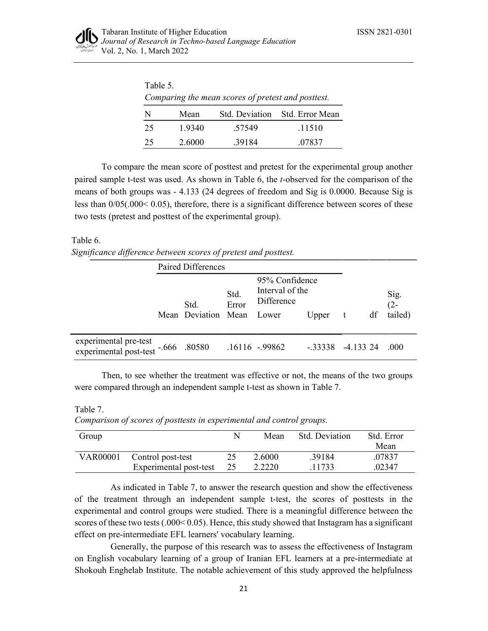

| Table 5.                                           |        |        |                                |  |  |  |  |  |
|----------------------------------------------------|--------|--------|--------------------------------|--|--|--|--|--|
| Comparing the mean scores of pretest and posttest. |        |        |                                |  |  |  |  |  |
| N                                                  | Mean   |        | Std. Deviation Std. Error Mean |  |  |  |  |  |
| 25                                                 | 1.9340 | .57549 | .11510                         |  |  |  |  |  |
| 25                                                 | 2.6000 | .39184 | .07837                         |  |  |  |  |  |

To compare the mean score of posttest and pretest for the experimental group another paired sample t-test was used. As shown in Table 6, the t-observed for the comparison of the means of both groups was - 4.133 (24 degrees of freedom and Sig is 0.0000. Because Sig is less than 0/05(.000< 0.05), therefore, there is a significant difference between scores of these two tests (pretest and posttest of the experimental group).

#### Table 6.

| Significance difference between scores of pretest and posttest. |  |
|-----------------------------------------------------------------|--|
|-----------------------------------------------------------------|--|

|                                                              | Paired Differences        |               |                                                 |           |             |    |                |
|--------------------------------------------------------------|---------------------------|---------------|-------------------------------------------------|-----------|-------------|----|----------------|
|                                                              | Std.                      | Std.<br>Error | 95% Confidence<br>Interval of the<br>Difference |           |             |    | Sig.<br>$(2 -$ |
|                                                              | Mean Deviation Mean Lower |               |                                                 | Upper     | $-t$        | df | tailed)        |
| experimental pre-test<br>experimental post-test -.666 .80580 |                           |               | .16116 -.99862                                  | $-.33338$ | $-4.133$ 24 |    | .000.          |

Then, to see whether the treatment was effective or not, the means of the two groups were compared through an independent sample t-test as shown in Table 7.

Table 7.

Comparison of scores of posttests in experimental and control groups.

| Group           |                        |    | Mean   | Std. Deviation | Std. Error |
|-----------------|------------------------|----|--------|----------------|------------|
|                 |                        |    |        |                | Mean       |
| <b>VAR00001</b> | Control post-test      |    | 2.6000 | .39184         | .07837     |
|                 | Experimental post-test | 25 | 2.2220 | 1733           | .02347     |

 As indicated in Table 7, to answer the research question and show the effectiveness of the treatment through an independent sample t-test, the scores of posttests in the experimental and control groups were studied. There is a meaningful difference between the scores of these two tests (.000< 0.05). Hence, this study showed that Instagram has a significant effect on pre-intermediate EFL learners' vocabulary learning.

 Generally, the purpose of this research was to assess the effectiveness of Instagram on English vocabulary learning of a group of Iranian EFL learners at a pre-intermediate at Shokouh Enghelab Institute. The notable achievement of this study approved the helpfulness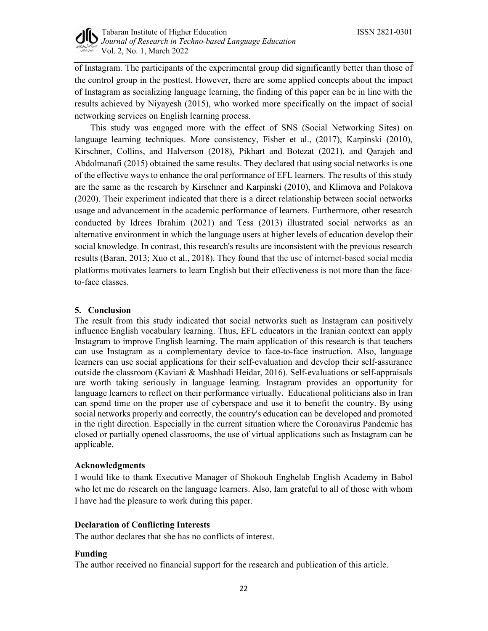

of Instagram. The participants of the experimental group did significantly better than those of the control group in the posttest. However, there are some applied concepts about the impact of Instagram as socializing language learning, the finding of this paper can be in line with the results achieved by Niyayesh (2015), who worked more specifically on the impact of social networking services on English learning process.

 This study was engaged more with the effect of SNS (Social Networking Sites) on language learning techniques. More consistency, Fisher et al., (2017), Karpinski (2010), Kirschner, Collins, and Halverson (2018), Pikhart and Botezat (2021), and Qarajeh and Abdolmanafi (2015) obtained the same results. They declared that using social networks is one of the effective ways to enhance the oral performance of EFL learners. The results of this study are the same as the research by Kirschner and Karpinski (2010), and Klimova and Polakova (2020). Their experiment indicated that there is a direct relationship between social networks usage and advancement in the academic performance of learners. Furthermore, other research conducted by Idrees Ibrahim (2021) and Tess (2013) illustrated social networks as an alternative environment in which the language users at higher levels of education develop their social knowledge. In contrast, this research's results are inconsistent with the previous research results (Baran, 2013; Xuo et al., 2018). They found that the use of internet-based social media platforms motivates learners to learn English but their effectiveness is not more than the faceto-face classes.

## 5. Conclusion

The result from this study indicated that social networks such as Instagram can positively influence English vocabulary learning. Thus, EFL educators in the Iranian context can apply Instagram to improve English learning. The main application of this research is that teachers can use Instagram as a complementary device to face-to-face instruction. Also, language learners can use social applications for their self-evaluation and develop their self-assurance outside the classroom (Kaviani & Mashhadi Heidar, 2016). Self-evaluations or self-appraisals are worth taking seriously in language learning. Instagram provides an opportunity for language learners to reflect on their performance virtually. Educational politicians also in Iran can spend time on the proper use of cyberspace and use it to benefit the country. By using social networks properly and correctly, the country's education can be developed and promoted in the right direction. Especially in the current situation where the Coronavirus Pandemic has closed or partially opened classrooms, the use of virtual applications such as Instagram can be applicable.

#### Acknowledgments

I would like to thank Executive Manager of Shokouh Enghelab English Academy in Babol who let me do research on the language learners. Also, Iam grateful to all of those with whom I have had the pleasure to work during this paper.

# Declaration of Conflicting Interests

The author declares that she has no conflicts of interest.

#### Funding

The author received no financial support for the research and publication of this article.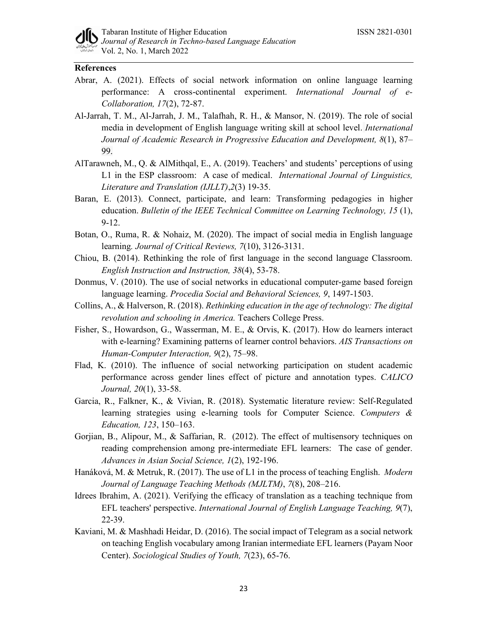

## References

- Abrar, A. (2021). Effects of social network information on online language learning performance: A cross-continental experiment. International Journal of e-Collaboration, 17(2), 72-87.
- Al-Jarrah, T. M., Al-Jarrah, J. M., Talafhah, R. H., & Mansor, N. (2019). The role of social media in development of English language writing skill at school level. International Journal of Academic Research in Progressive Education and Development, 8(1), 87– 99.
- AlTarawneh, M., Q. & AlMithqal, E., A. (2019). Teachers' and students' perceptions of using L1 in the ESP classroom: A case of medical. International Journal of Linguistics, Literature and Translation (IJLLT),2(3) 19-35.
- Baran, E. (2013). Connect, participate, and learn: Transforming pedagogies in higher education. Bulletin of the IEEE Technical Committee on Learning Technology, 15 (1), 9-12.
- Botan, O., Ruma, R. & Nohaiz, M. (2020). The impact of social media in English language learning. Journal of Critical Reviews, 7(10), 3126-3131.
- Chiou, B. (2014). Rethinking the role of first language in the second language Classroom. English Instruction and Instruction, 38(4), 53-78.
- Donmus, V. (2010). The use of social networks in educational computer-game based foreign language learning. Procedia Social and Behavioral Sciences, 9, 1497-1503.
- Collins, A., & Halverson, R. (2018). Rethinking education in the age of technology: The digital revolution and schooling in America. Teachers College Press.
- Fisher, S., Howardson, G., Wasserman, M. E., & Orvis, K. (2017). How do learners interact with e-learning? Examining patterns of learner control behaviors. AIS Transactions on Human-Computer Interaction, 9(2), 75–98.
- Flad, K. (2010). The influence of social networking participation on student academic performance across gender lines effect of picture and annotation types. CALICO Journal, 20(1), 33-58.
- Garcia, R., Falkner, K., & Vivian, R. (2018). Systematic literature review: Self-Regulated learning strategies using e-learning tools for Computer Science. Computers & Education, 123, 150–163.
- Gorjian, B., Alipour, M., & Saffarian, R. (2012). The effect of multisensory techniques on reading comprehension among pre-intermediate EFL learners: The case of gender. Advances in Asian Social Science, 1(2), 192-196.
- Hanáková, M. & Metruk, R. (2017). The use of L1 in the process of teaching English. *Modern* Journal of Language Teaching Methods (MJLTM), 7(8), 208–216.
- Idrees Ibrahim, A. (2021). Verifying the efficacy of translation as a teaching technique from EFL teachers' perspective. International Journal of English Language Teaching, 9(7), 22-39.
- Kaviani, M. & Mashhadi Heidar, D. (2016). The social impact of Telegram as a social network on teaching English vocabulary among Iranian intermediate EFL learners (Payam Noor Center). Sociological Studies of Youth, 7(23), 65-76.